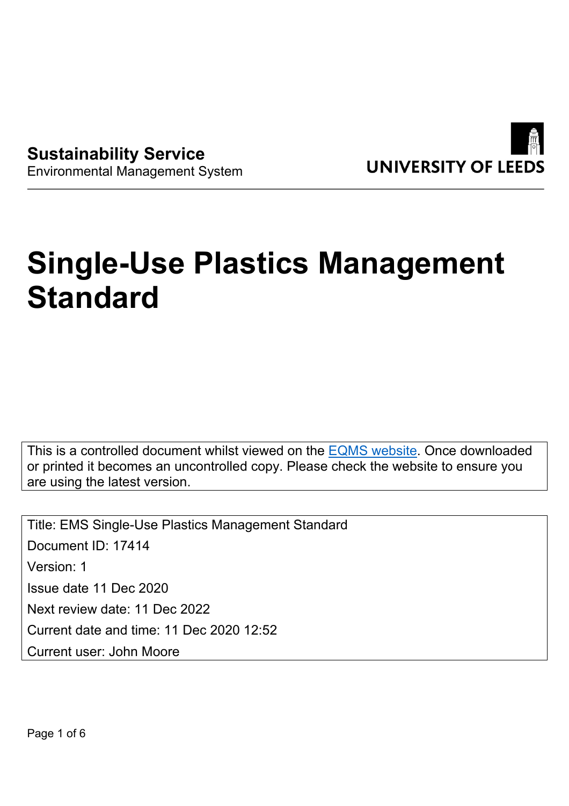

**Sustainability Service** Environmental Management System

# **Single-Use Plastics Management Standard**

This is a controlled document whilst viewed on the [EQMS website](https://universityofleeds.myeqms.com/Login/Login.aspx). Once downloaded or printed it becomes an uncontrolled copy. Please check the website to ensure you are using the latest version.

Title: EMS Single-Use Plastics Management Standard Document ID: 17414 Version: 1 Issue date 11 Dec 2020 Next review date: 11 Dec 2022 Current date and time: 11 Dec 2020 12:52 Current user: John Moore

Page 1 of 6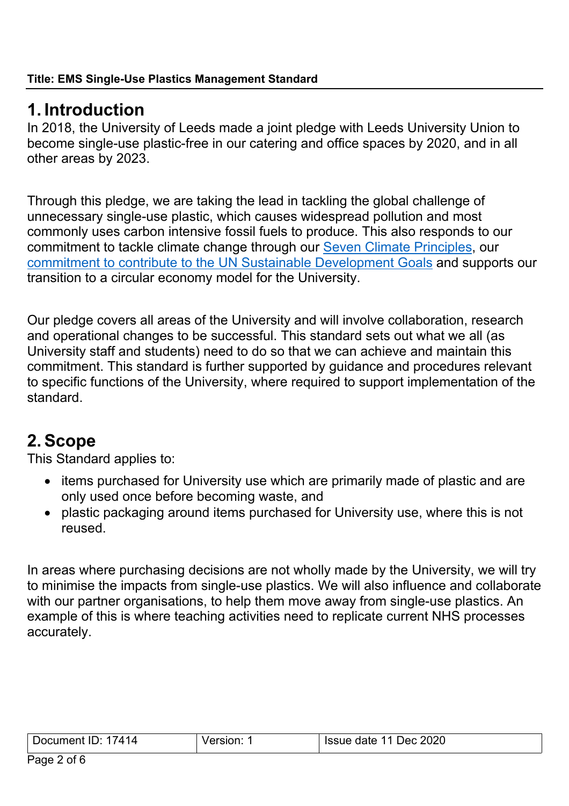### **1. Introduction**

In 2018, the University of Leeds made a joint pledge with Leeds University Union to become single-use plastic-free in our catering and office spaces by 2020, and in all other areas by 2023.

Through this pledge, we are taking the lead in tackling the global challenge of unnecessary single-use plastic, which causes widespread pollution and most commonly uses carbon intensive fossil fuels to produce. This also responds to our commitment to tackle climate change through our [Seven Climate Principles,](http://www.leeds.ac.uk/info/130582/values_and_responsibility/726/the_climate_crisis_our_principles_for_action) our [commitment to contribute to the UN Sustainable Development Goals](https://sustainability.leeds.ac.uk/about/sustainability-strategy/sdgs/) and supports our transition to a circular economy model for the University.

Our pledge covers all areas of the University and will involve collaboration, research and operational changes to be successful. This standard sets out what we all (as University staff and students) need to do so that we can achieve and maintain this commitment. This standard is further supported by guidance and procedures relevant to specific functions of the University, where required to support implementation of the standard.

# **2. Scope**

This Standard applies to:

- items purchased for University use which are primarily made of plastic and are only used once before becoming waste, and
- plastic packaging around items purchased for University use, where this is not reused.

In areas where purchasing decisions are not wholly made by the University, we will try to minimise the impacts from single-use plastics. We will also influence and collaborate with our partner organisations, to help them move away from single-use plastics. An example of this is where teaching activities need to replicate current NHS processes accurately.

| $\Lambda$ 1<br>Ш<br>ഹ<br>14<br>neni | . | 2020<br>Jec.<br>date<br>лте 1 |
|-------------------------------------|---|-------------------------------|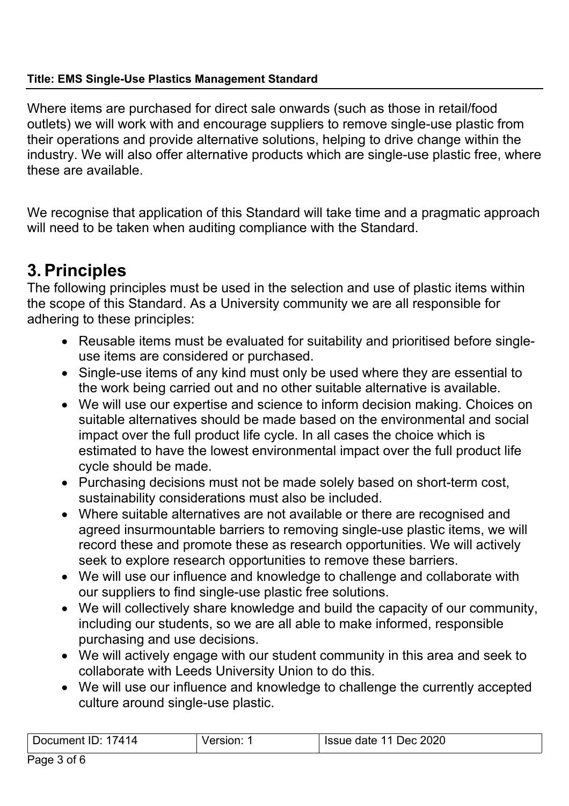#### **Title: EMS Single-Use Plastics Management Standard**

Where items are purchased for direct sale onwards (such as those in retail/food outlets) we will work with and encourage suppliers to remove single-use plastic from their operations and provide alternative solutions, helping to drive change within the industry. We will also offer alternative products which are single-use plastic free, where these are available.

We recognise that application of this Standard will take time and a pragmatic approach will need to be taken when auditing compliance with the Standard.

### **3. Principles**

The following principles must be used in the selection and use of plastic items within the scope of this Standard. As a University community we are all responsible for adhering to these principles:

- Reusable items must be evaluated for suitability and prioritised before singleuse items are considered or purchased.
- Single-use items of any kind must only be used where they are essential to the work being carried out and no other suitable alternative is available.
- We will use our expertise and science to inform decision making. Choices on suitable alternatives should be made based on the environmental and social impact over the full product life cycle. In all cases the choice which is estimated to have the lowest environmental impact over the full product life cycle should be made.
- Purchasing decisions must not be made solely based on short-term cost, sustainability considerations must also be included.
- Where suitable alternatives are not available or there are recognised and agreed insurmountable barriers to removing single-use plastic items, we will record these and promote these as research opportunities. We will actively seek to explore research opportunities to remove these barriers.
- We will use our influence and knowledge to challenge and collaborate with our suppliers to find single-use plastic free solutions.
- We will collectively share knowledge and build the capacity of our community, including our students, so we are all able to make informed, responsible purchasing and use decisions.
- We will actively engage with our student community in this area and seek to collaborate with Leeds University Union to do this.
- We will use our influence and knowledge to challenge the currently accepted culture around single-use plastic.

| 11 <sup>o</sup><br>. יחרי<br>10<br>11111e1 | $\mathbf{v}$ | .020<br>۱۵٢<br>.<br>ानाम |
|--------------------------------------------|--------------|--------------------------|
|                                            |              |                          |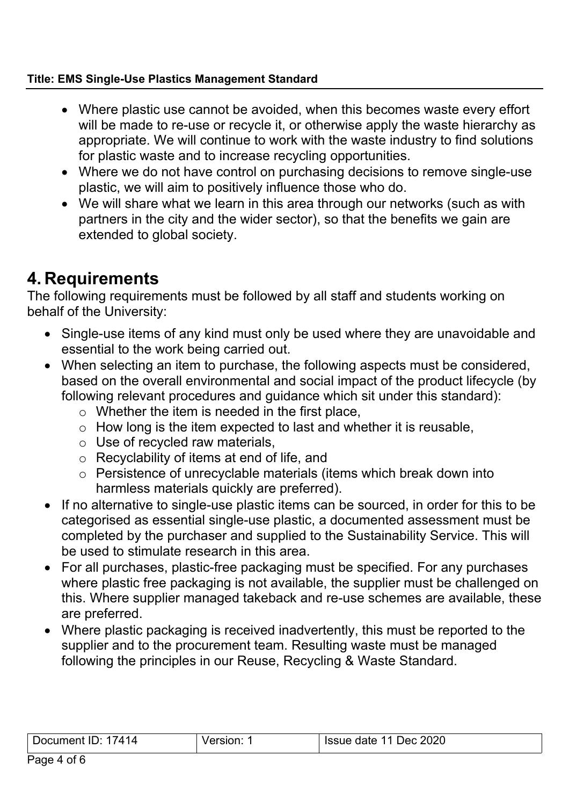#### **Title: EMS Single-Use Plastics Management Standard**

- Where plastic use cannot be avoided, when this becomes waste every effort will be made to re-use or recycle it, or otherwise apply the waste hierarchy as appropriate. We will continue to work with the waste industry to find solutions for plastic waste and to increase recycling opportunities.
- Where we do not have control on purchasing decisions to remove single-use plastic, we will aim to positively influence those who do.
- We will share what we learn in this area through our networks (such as with partners in the city and the wider sector), so that the benefits we gain are extended to global society.

# **4. Requirements**

The following requirements must be followed by all staff and students working on behalf of the University:

- Single-use items of any kind must only be used where they are unavoidable and essential to the work being carried out.
- When selecting an item to purchase, the following aspects must be considered, based on the overall environmental and social impact of the product lifecycle (by following relevant procedures and guidance which sit under this standard):
	- $\circ$  Whether the item is needed in the first place,
	- $\circ$  How long is the item expected to last and whether it is reusable,
	- $\circ$  Use of recycled raw materials,
	- o Recyclability of items at end of life, and
	- o Persistence of unrecyclable materials (items which break down into harmless materials quickly are preferred).
- If no alternative to single-use plastic items can be sourced, in order for this to be categorised as essential single-use plastic, a documented assessment must be completed by the purchaser and supplied to the Sustainability Service. This will be used to stimulate research in this area.
- For all purchases, plastic-free packaging must be specified. For any purchases where plastic free packaging is not available, the supplier must be challenged on this. Where supplier managed takeback and re-use schemes are available, these are preferred.
- Where plastic packaging is received inadvertently, this must be reported to the supplier and to the procurement team. Resulting waste must be managed following the principles in our Reuse, Recycling & Waste Standard.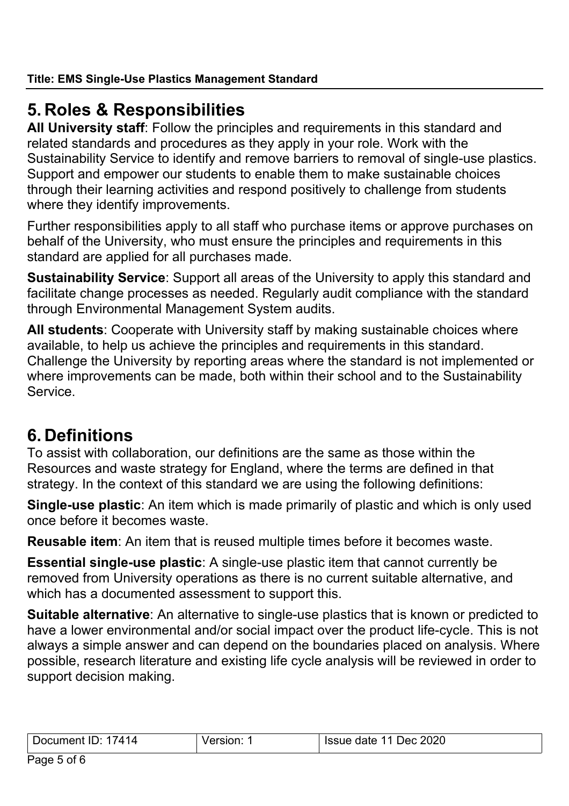# **5. Roles & Responsibilities**

**All University staff**: Follow the principles and requirements in this standard and related standards and procedures as they apply in your role. Work with the Sustainability Service to identify and remove barriers to removal of single-use plastics. Support and empower our students to enable them to make sustainable choices through their learning activities and respond positively to challenge from students where they identify improvements.

Further responsibilities apply to all staff who purchase items or approve purchases on behalf of the University, who must ensure the principles and requirements in this standard are applied for all purchases made.

**Sustainability Service**: Support all areas of the University to apply this standard and facilitate change processes as needed. Regularly audit compliance with the standard through Environmental Management System audits.

**All students**: Cooperate with University staff by making sustainable choices where available, to help us achieve the principles and requirements in this standard. Challenge the University by reporting areas where the standard is not implemented or where improvements can be made, both within their school and to the Sustainability Service.

### **6. Definitions**

To assist with collaboration, our definitions are the same as those within the Resources and waste strategy for England, where the terms are defined in that strategy. In the context of this standard we are using the following definitions:

**Single-use plastic**: An item which is made primarily of plastic and which is only used once before it becomes waste.

**Reusable item**: An item that is reused multiple times before it becomes waste.

**Essential single-use plastic**: A single-use plastic item that cannot currently be removed from University operations as there is no current suitable alternative, and which has a documented assessment to support this.

**Suitable alternative**: An alternative to single-use plastics that is known or predicted to have a lower environmental and/or social impact over the product life-cycle. This is not always a simple answer and can depend on the boundaries placed on analysis. Where possible, research literature and existing life cycle analysis will be reviewed in order to support decision making.

| - -<br>л 1<br>Document<br>-11<br><br>14<br> | sion<br>76. | 2020<br><b>Issue</b><br>date<br>Jec. |
|---------------------------------------------|-------------|--------------------------------------|
|                                             |             |                                      |